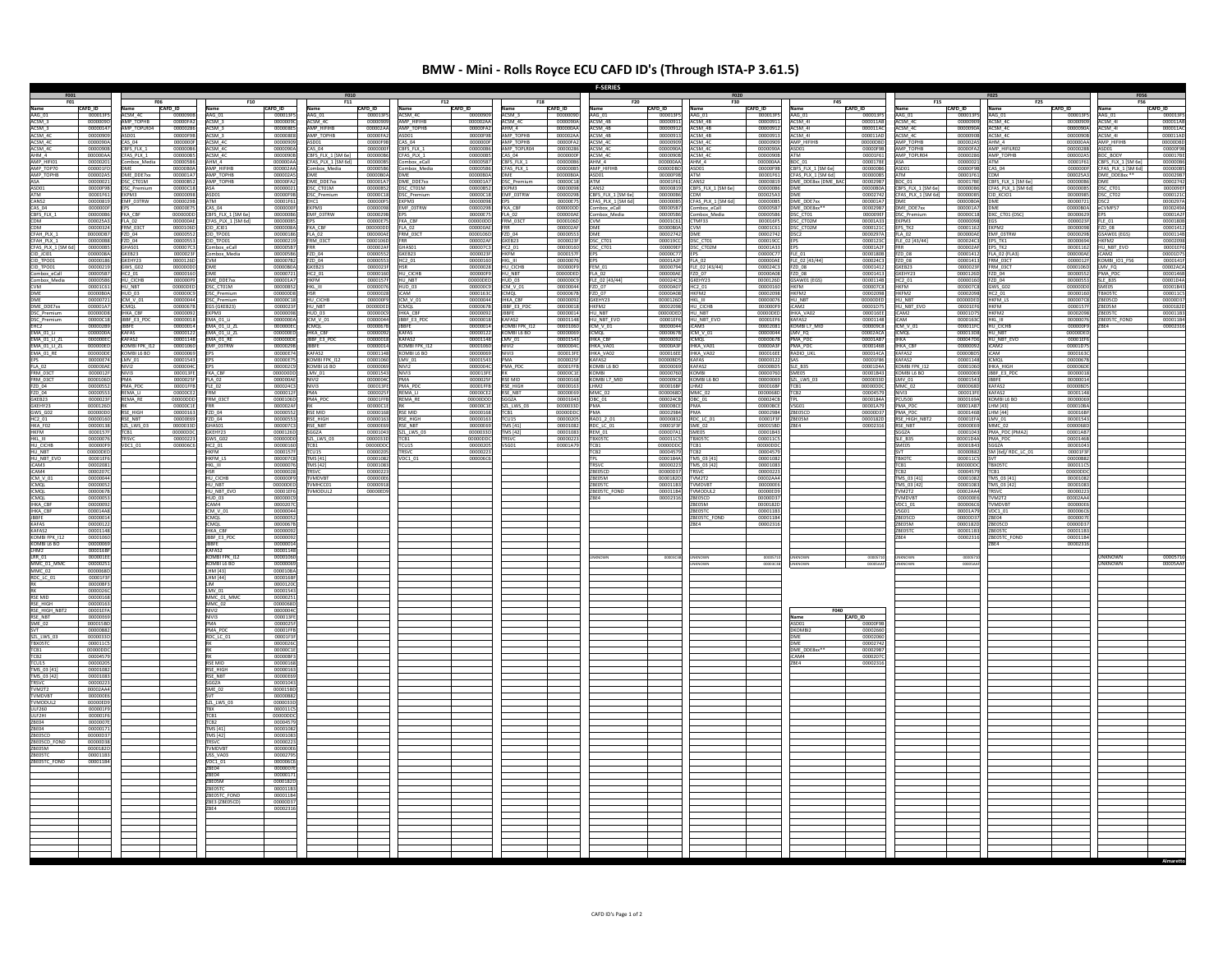## **BMW ‐ Mini ‐ Rolls Royce ECU CAFD ID's (Through ISTA‐P 3.61.5)**

|                                                                                                                                        |                      |                       |                      |                                  |                      |                                    |                           |                            |                      |                              |                           | <b>F-SERIES</b>                |                      | F020                            |                      |                               |                     |                             |                      |                                          |                      | <b>F056</b>                            |                             |
|----------------------------------------------------------------------------------------------------------------------------------------|----------------------|-----------------------|----------------------|----------------------------------|----------------------|------------------------------------|---------------------------|----------------------------|----------------------|------------------------------|---------------------------|--------------------------------|----------------------|---------------------------------|----------------------|-------------------------------|---------------------|-----------------------------|----------------------|------------------------------------------|----------------------|----------------------------------------|-----------------------------|
|                                                                                                                                        | CAFD ID              |                       | CAFD <sub>ID</sub>   |                                  | CAFD ID              | F11                                | CAFD ID                   |                            | CAFD ID              |                              | CAFD ID                   | F20                            | CAFD_ID              | <b>F30</b>                      | CAFD <sub>ID</sub>   |                               | CAFD <sub>ID</sub>  |                             | CAFD ID              | <b>F25</b>                               | CAFD ID              | <b>F56</b>                             | CAFD ID                     |
| Name<br>AAG_01                                                                                                                         | 000013F5             | ACSM_4C               | 00000908             | Name<br>AAG_01                   | 000013F5             | AAG_01                             | 000013F5                  | ACSM_4C                    | 0000090              | ACSM_3                       | 0000009                   | AAG_01                         | 000013F5             | AAG_01                          | 000013FS             | AAG_01                        | 000013FS            | AAG_01                      | 000013F5             | AAG_01                                   | 000013FS             | AAG_01                                 | 000013FS                    |
|                                                                                                                                        | 00000090<br>00000147 | MP TOPHB<br>P_TOPLR04 | 00000FA2<br>00000286 | ACSM <sub>3</sub><br>$CSM_3$     | 0000009<br>000008E9  | ACSM 4C<br><b>MP_HIFIHB</b>        | 0000090<br>000002A        | AMP_HIFIHB<br>AMP_TOPHB    | 00000244<br>00000FA  | <b>ACSM 4C</b>               | 0000090<br>000000/        | ACSM 4B<br>ACSM_4B             | 0000091<br>0000091   | ACSM 4B<br>$ACSM_4B$            | 0000091<br>0000091   | ACSM 41<br>ACSM_41            | 000011A<br>000011/  | ACSM 4C<br>SM_4C            | 0000090<br>0000090/  | ACSM_4C<br>ACSM_4C                       | 0000090<br>0000090   | ACSM 41<br>$CSM_4$                     | 000011AB<br>000011A         |
|                                                                                                                                        | 00000909             | 5D01                  | 00000F9B             | ICSM <sub>3</sub>                | 000008E8             | AMP TOPHB                          | 00000FA                   | DO1                        | 00000F9              | MP TOPHB                     | 000002/                   | ACSM_4B<br>ACSM_4C             | 0000091              | ACSM 4B                         | 0000091              | ACSM 41                       | 000011A             | SM_4C<br>AP_TOPHB           | 0000090              | ACSM 4C                                  | 0000090<br>000000A   | CSM 41                                 | 000011AD<br>00000DBD        |
|                                                                                                                                        | 000009<br>00000906   | BFS_FLX_1             | 0000000<br>000000B   | $SM$ 40<br>ACSM_4C               | 000009<br>0000090    | AS 04                              | 00000F<br>0000000         | CBFS_FLX_1                 | 000000<br>000000B    | <b>AP TOPH</b><br>MP TOPLR04 | 00000F<br>0000028         |                                | 0000090              | ACSM_4C<br>ACSM_4C              | 0000090              | MP_HIFIHB<br>ASDO1            | 000000<br>00000F9   | <b>MP TOPHE</b>             | 000002<br>00000FA    | IM 4                                     | 0000028              | P_HIFIHB<br>SDO1                       |                             |
| ANG OF ASSAULT ACSM_3<br>ACSM_3<br>ACSM_4C<br>ACSM_4C<br>ACSM_4C<br>ACSM_4C<br>AMP_TUP01<br>AMP_TOP70<br>AMP_TOP70<br>AMP_TOP70<br>ASA | 000000AA             | FAS PLX 1             | 000000BS             | <b>ICSM 4C</b>                   | 00000908             | EBFS FLX 1 [SM 6e]                 | 000000B6                  | CFAS PLX 1                 | 000000B5             | AS 04                        | 0000000                   | ACSM_4C<br>ACSM_4C             | 0000090              | ACSM 4C                         | 0000090E             |                               | 00001F6             | <b>AP TOPLR04</b>           | 00000286             | AMP_HIFILR02<br>AMP_TOPHB                | 000002A              | DC BODY                                | 00000F9E                    |
|                                                                                                                                        | 00000201<br>000001FD | nbox_Media            | 00000586<br>0000080A | $AHM_4$<br>AMP HIFIHB            | 000000AA<br>000002AA | CFAS_PLX_1 [SM 6d]<br>Combox Media | 000000BS<br>000005B6      | ombox_eCall<br>ombox Media | 00000587<br>00000586 | $BFS$ FLX 1<br>FAS PLX 1     | 0000008<br>0000006        | AHM 4<br>AMP HIFIHB            | 000000AA<br>00000DBE | AHM 4                           | 000000AA<br>00000F9B | BDC_01<br>CBFS FLX 1 [SM 6e]  | 0000178<br>000000E  | mn1                         | 0000002<br>00000F9B  | CAS 04                                   | 00001F6<br>0000000   | BFS_FLX_1 [SM 6e]<br>FAS PLX 1 [SM 6d] | 00000086<br>00000089        |
|                                                                                                                                        | 000002               | ME_DDE7xx             | 000001A7             | AMP_TOPHB                        |                      |                                    |                           |                            |                      |                              |                           | ASD01                          | 00000F               | ASD01<br>ATM                    | 00001F6              | CFAS_PLX_1 [SM 6d]            | 000000              |                             |                      |                                          | 000025A              | ME_DDE8xx                              | 000029B                     |
|                                                                                                                                        | 00000021<br>00000F9B | SC CT01M<br>C_Premium | 00000B52<br>00000C18 | AMP TOPHB                        | 00000FA2<br>00000021 | DME DDE7xx<br>OSC_CT01M            | 000001A7<br>00000B52      | DME_DDE7xx<br>DSC_CT01M    | 000001A7<br>00000852 | <b>OSC</b> Premium<br>KPM3   | 00000C1<br>0000009        | ATM<br>ANS <sub>2</sub>        | 00001F61<br>00000819 | CANS2<br>CBFS_FLX_1 [SM 6e]     | 00000819<br>00000086 | DME DDE8xx (DME BA            | 000029B<br>00000BC  | BDC 01<br>BFS_FLX_1 [SM 6e] | 000017BE<br>000000B6 | CBFS FLX 1 [SM 6e]<br>CFAS_PLX_1 [SM 6d] | 00000086<br>00000085 | SC_CT01                                | 00002742<br>000009E         |
| ASD01<br>ATM<br>CANS2                                                                                                                  | 00001F61             | KPM3                  | 00000098             | ASDO1                            | 00000F9B             | <b>SC_Premium</b>                  | 00000C1                   | SC_Premium                 | 00000C1              | EMF 03TRW                    | 0000029                   | CBFS FLX 1 [SM 6e              | 0000008              | <b>DM</b>                       | 000025A3             | DME                           | 0000274             | CFAS_PLX_1 [SM 6d]          | 000000B              | CID KCIO1                                | 0000098              | SC CT02                                |                             |
|                                                                                                                                        | 00000819             | MF_03TRW              | 00000298             |                                  | 00001F61             | EHC1<br>EKPM3                      | 000000F5                  | КРМЗ                       | 00000098             |                              | 00000E75                  | CFAS_PLX_1 [SM 6d]             | 000000B5             | CFAS_PLX_1 [SM 6d]              | 00000085             | DME_DDE7xx                    | 000001A7            |                             | 00000B0A             | MF                                       | 00000721             | SC <sub>2</sub>                        | 00001210<br>0000297/        |
| CAS_04<br>CBFS_FLX_1                                                                                                                   | 0000000F<br>000000B6 | KA CBF                | 00000E75<br>000000DD | AS 04<br>BFS FLX 1 [SM 6e        | 0000000F<br>000000B6 | MF 03TRW                           | 00000098<br>0000029       | EMF_03TRW                  | 00000298<br>00000E7  | KA CBF<br>A 02               | 000000D<br>000000/        | Combox_eCall<br>Combox_Media   | 00000587<br>000005B6 | combox_eCall                    | 00000587<br>00000586 | DME_DDE8xx**<br>DSC CT01      | 000029B<br>000009   | ME DDE7xx<br>SC Premium     | 000001A7<br>00000C18 | DXC CT01 (DSC)                           | 00000B0A<br>0000062  | CVMF57                                 | 0000249A                    |
| <b>CDM</b>                                                                                                                             | 000025A3<br>00000324 | <b>RM_03CT</b>        | 000000AE<br>0000106D | CFAS_PLX_1 [SM 6d<br>CID_JCI01   | 00000085<br>0000008/ | KA_CBF                             | 00000E7<br>000000D        | KA CBF                     | 000000D<br>000000A   | RM 03CT                      | $\frac{0000106}{0000024}$ |                                | 00001C61             | Combox_Media<br>CTMF33          | 000016F5             | OSC_CTO2M<br>OSC_CTO2M        | 00001A3             | <b>FMS</b><br>TK2           | 0000009<br>00001162  | KPM2                                     | 0000023              | LE_01<br>ZD_08                         | $\frac{00001800}{00001412}$ |
| CFAH_PLX_1                                                                                                                             | 00000DB7             | ZD 04                 | 00000552             | D TPO01                          | 00000186             | <b>LA 02</b>                       | 000000AE                  | FRM 03CT                   | 0000106D             | 7D 04                        | 0000055                   | MF                             | 00002742             | DME                             | 00002742             |                               | 0000297             | A 02                        | 000000AE             | MF_03TRW                                 | 0000029              | SAW01 (EGS                             |                             |
| CFAH PLX 1                                                                                                                             | 000000B8             | ZD 04                 | 00000553             | ID TPO01                         | 00000219             | FRM 03CT                           | 0000106                   | <b>HASO1</b>               | 000002A              | SKEB23                       | 0000023                   | DSC CT01                       | 0000190              | DSC CT01                        | 000019C0             |                               | 0000123             | LE 02 [43/44]               | 000024C              | EPS TK1                                  | 0000069              | HKFM2                                  | 00001146                    |
| CFAS_PLX_1 [SM                                                                                                                         | 000000B<br>0000008A  | SKEB23                | 000007C3<br>0000023F | ombox_eCal                       | 00000587<br>00000586 | ZD 04                              | 000002A<br>00000552       | SKEB23                     | 000007C<br>0000023F  | $C2_01$<br>KFM               | 000001<br>0000157         | SC_CT01                        | 000009<br>00000C7    | OSC_CT02M                       | 00001A3<br>00000C77  | FLE 01                        | 00001A<br>0000180   | 0.08                        | 000002A<br>00001412  | PS_TK2                                   | 0000116<br>000000A   | IU_NBT_EVC<br>AM2                      | 00001EF6                    |
| CID_JCI01<br>CID_TPO01                                                                                                                 |                      |                       | 0000126D             | Combox_Media<br>.VM              |                      |                                    |                           | HC2 01                     | 0000016              |                              | 000000                    |                                |                      | LA 02                           | 000000               | LE_02 [43/44]                 | 0000240             |                             | 0000141              | FLA_02 (FLA3)<br>FRM_03CT                | 000001               | (OMBI_IO1_F56                          | 00001D75<br>00001416        |
| CID TPO01                                                                                                                              | 00000219<br>000005B7 | GWS G02<br>HC2_01     | 000000DG<br>00000160 |                                  | 00000B0A<br>00000721 | GKEB23<br>HC2_01                   | 0000023<br>00000160       | HU_CICHB                   | 00000028<br>000000F9 | IU CICHB<br>U_NBT            | 0000006<br>00000DE        | <b>FEM 01</b><br>FLA_02        | 00000794<br>000000A  | FLE 02 [43/44]<br>FZD_07        | 000024C<br>00000A08  | FZD 08<br>FZD_08              | 0000141<br>0000141  | GKEB23<br>GKEHY23           | 0000023F<br>00001260 | FRM 03CT<br>FZD_04                       | 0000106<br>0000055   | LMV FO<br>MA_PDC                       | 00002AC/                    |
| Combox_eCall<br>Combox_Media<br>CVM                                                                                                    | 000005B6             | U CICHB               | 000000F9<br>00000DED | ME DDE7xx                        | 000001A7<br>00000B52 | <b>HKFM</b>                        | 0000157F                  | IU NBT                     | 00000DED             | JD 03                        | 0000000                   | FLE_02 [43/44]                 | 000024C3             | GKEHY23                         | 0000126D             | GSAW01 (EGS)                  | 0000114             | 01                          | 00000160<br>000007C8 | ZD 04                                    | 00000553<br>000000D  | LE_B35                                 | $\frac{00001466}{00001044}$ |
|                                                                                                                                        | 00001C61<br>00000B0A | IU NBT<br>JD_03       | 000000C9             | SC_CT01M<br>SC_Premium           | 000000D8             | HKL III                            | 00000076<br>0000002       | HUD_03                     | 0000000<br>0000163   | M_V_01                       | 0000004<br>0000067        | FZD 07<br>FZD_07               | 00000A07<br>00000A0  | HC2_01<br>HKFM2                 | 0000209              | HKFM2                         | 0000209             | IKFM2                       | 0000209              | GWS_G02                                  | 0000016              | MEOS<br><b>BXOSTC</b>                  | 00001B4<br>000011CS         |
| DME<br>DME<br>DME_DDE7xx<br>DSC_Premium                                                                                                | 0000072              | M V 01                | 00000044             | C Premium                        | 00000C18             | HU CICHB                           | 000000F                   | M V 01                     | 0000004              | HKA CBI                      | 0000009                   | SKEHY23                        | 0000126              | HKL III                         | 0000007              | HU NBT                        | 00000DE             | U NBT                       | 00000DEI             | $C2_01$<br>IKFM_LS                       | 0000070              | EOSCD                                  | 00000D37                    |
|                                                                                                                                        | 000001A7<br>000000D8 | HKA_CBF               | 0000067B<br>00000092 | S (GKEB23)<br>КРМЗ               | 0000023F<br>00000098 | <b>HU NBT</b><br>HUD 03            | 00000DE<br>000000C9       | HKA CBF                    | 00000678<br>0000009  | BBF E3 PDC                   | 0000001<br>0000001        | HKFM2<br>HU_NBT                | 0000209<br>00000DEE  | <b>IU CICHB</b><br>HU NBT       | 000000F9<br>00000DE  | CAM <sub>2</sub><br>IHKA VA02 | 00001D7<br>000016E  | NBT EVO<br>AM2              | 00001EF6<br>00001D7  | нкғм<br>НКЕМ2                            | 0000157<br>0000209   | <b>IFOSM</b><br>BEOSTC                 | 00001820                    |
| <b>DSC_Premium</b>                                                                                                                     | 00000C18             | <b>IBBF_E3_PDC</b>    | 00000018             | EMA_01_Li                        | 0000000A             | ICM_V_01                           | 00000044                  | JBBF_E3_PDC                | 00000018             | <b>CAEAS2</b>                | 0000114                   | HU_NBT_EVO                     | 00001EF              | HU_NBT_EVO                      | 00001EF6             | KAFAS2                        | 0000114             | AM <sup>-</sup>             | 0000163C             | HKL_III                                  | 0000007              | ZBEOSTC_FOND                           | 000011B4                    |
| EMA_01_Li                                                                                                                              | 00000289<br>0000000  |                       | 00000014<br>00000122 | EMA 01 LI ZI<br>MA_01_LI_2       | 000000E0<br>000000ED | CMQL<br>IHKA_CBF                   | 0000067E<br>0000009       | RRFF                       | 00000014<br>0000012  | MBI FPK 112<br>OMBI L6 BO    | 000010<br>000000          | ICM_V_01<br>ICMQL              | 0000004<br>0000067   | CAM3<br>ICM_V_01                | 0000208<br>000000    | KOMBI L7 MIE<br>LMV_FQ        | 000009C<br>00002AC  | M V 01                      | 000011FC<br>0000130  | HU_CICHB<br>HU_NBT                       | 000000               | 'RF4                                   | 00002316                    |
|                                                                                                                                        | 000000EC             | <b>CAFAS2</b>         | 00001148             | EMA 01 RE                        | 000000DE             | JBBF E3 PDC                        | 00000018                  | KAFAS2                     | 00001148             | MV 01                        | 0000154                   | IHKA CBF                       | 0000009              | CMOL                            | 00000678             | PMA PDC                       | 00001AB             |                             | 000047D6             |                                          | 00000DE<br>00001E    |                                        |                             |
| EMA_01_LI_ZL<br>EMA_01_LI_ZL                                                                                                           | 000000               | OMBI FPK 11           | 00001060             | EMF_03TRW                        | 000002               | KAFAS2                             | 00000014                  | KOMBI FPK 11               | 0000106              | <b>FIVIL</b>                 | 000000                    | IHKA_VA01                      | 00000A               | IHKA VA01                       | 00000A               | PMA_PDC                       | 000014              | HKA CBF<br>KAFAS2           | 000000               | HU_NBT_EVO<br>iCAM2<br>iCAM              | 00001D               |                                        |                             |
| EMA_01_RE<br>EPS                                                                                                                       | 000000DE<br>00000E74 | KOMBI L6 BO<br>MV 01  | 00000069<br>00001543 |                                  | 00000E74<br>00000E75 | <b>COMBI FPK 112</b>               | 00001148<br>00001060      | KOMBI L6 BO<br>LMV 01      | 00000069<br>0000154  |                              | 000013FE<br>0000025       | IHKA VA02<br>KAFAS2            | 000016EE<br>00000BD5 | IHKA_VA02<br>KAFAS              | 000016EE<br>00000122 | RADIO_UKL                     | 000014CA<br>00001F8 | AFAS2                       | 00000BD5<br>00001148 | ICMQL                                    | 00001630<br>00000676 |                                        |                             |
|                                                                                                                                        | 000000AE             |                       | 0000004C             |                                  | 000002C9             | KOMBI L6 BO                        | 00000069                  |                            | 0000004              | MA_PDC                       | 00001FF                   | KOMBI L6 BO                    | 0000006              | KAFAS2                          | 00000BD5             | ELE_B35                       | 00001D4             | OMBI FPK_I12                | 0000106              | <b>IHKA_HIGH<br/>JBBF_E3_PDC</b>         | 000006D              |                                        |                             |
| FLA_02<br>FRM_03CT<br>FRM_03CT                                                                                                         | 0000012<br>0000106D  |                       | 0000025F             | KA_CBF<br>LA 02                  | 000000DD<br>000000AE | MV_01                              | 00001543<br>00000040      |                            | 000013F<br>0000025   | SE MID                       | 0000016                   | OMBI<br>KOMBI L7 MID           | 0000076<br>000009C8  | (OMBI<br>KOMBI L6 BO            | 00000069             | MEOS<br>ZL LWS 03             | 00001B4<br>0000033  | MBI L6 BO<br>AV 01          | 0000006<br>00001543  | RREE                                     | 000000<br>000000     |                                        |                             |
| FZD_04<br>FZD_04                                                                                                                       | 0000055              | PMA PDC               | 00001FFB             | FLE 02                           | 000024C3             |                                    | 000013FE                  | PMA PDC                    | 00001FFB             | SE HIGH                      | 0000016                   | LHM2                           | 000016B              | LHM2                            | 000016BF             | CB <sub>1</sub>               | 00000DD             | MC 02                       | 0000068D             | KAFAS2                                   | 00000BD              |                                        |                             |
| GKEB23                                                                                                                                 | 0000055<br>0000023F  | REMA_LI<br>REMA RE    | 00000CE2<br>00000DDD | FRM 03C                          | 0000012F<br>0000106D | MA PDC                             | 0000025<br>00001FFE       | REMA_LI<br>EMA RE          | 00000CE<br>00000DDI  | SE_NBT<br>GZA                | 00000E6<br>0000104        | MMC_02<br>OBC 01               | 0000068<br>000024CB  | MMC_02<br>OBC 01                | 00000680<br>000024CB | TCB <sub>2</sub>              | 0000457<br>0000184  | <b>J500</b>                 | 000013FE<br>0000169/ | <b>CAFAS2</b><br>KOMBI L6 BO             | 0000114<br>0000006   |                                        |                             |
| GKEHY23                                                                                                                                | 0000126              |                       | 00000C1E             |                                  | 000002AF             |                                    | 00000C1E                  |                            | 00000C1              | L_LWS_03                     | 0000033                   |                                | 00000BCI             |                                 | 00000BCI             |                               | 00001A7             | VIA_PDC                     | 00001AB              | HM [43]                                  | 000010B              |                                        |                             |
| GWS_G02<br>HC2_01                                                                                                                      | 000000D<br>00000160  | RSE HIGH<br>SF NRT    | 00000163<br>00000E69 | FZD 04<br>ZD_04                  | 0000055<br>0000055   | RSE MID<br><b>RSE HIGH</b>         | 00000168<br>0000016       | RSE MID<br><b>ISE HIGH</b> | 00000168<br>0000016  |                              | 00000DD<br>000002         | PMA<br>RAD1_2_0                | 0000298<br>00000832  | PMA.<br>RDC_LC_01               | 0000298<br>00001F3   | ZBE05CD<br><b>RENSN</b>       | 00000D<br>0000182   | PMA PDC<br>RSE_HIGH_NBT2    | 00001468<br>00001EF  | HM [44]<br>$MV_01$                       | 000016<br>0000154    |                                        |                             |
|                                                                                                                                        | 00000138             | ZL_LWS_03             | 0000033D             | HAS01                            | 000007C3             | RSE NBT                            | 00000E69                  | RSE NBT                    | 00000E69             | MS [41]                      | 0000108                   |                                | 00001F3F             | SME 02                          |                      | ZBE4                          | 0000231             | RSE NBT                     | 00000E69             | <b>MMC 02</b>                            | 0000068              |                                        |                             |
|                                                                                                                                        | 0000157              |                       | 00000DN              | GKEHY23                          | 00001260<br>000000DC | <b>GGZA</b>                        | 00001043<br>0000033       | ZL_LWS_03                  | 0000033<br>00000DD   | MS [42]                      | 0000108<br>000002         | RDC_LC_01<br>REM_01<br>TBXOSTC | 000007A1             | MEO5<br><b>TBXOSTC</b>          | 000015BD<br>00001B43 |                               |                     |                             | 0000104              | MA_PDC (PMA2)                            | 00001AB              |                                        |                             |
| HKA_FO2<br>HKFM<br>HKL_III<br>HU_NBT<br>HU_NBT<br>HU_NBT_EVO<br>ICAM3                                                                  | 00000076<br>000000F9 | RSVC<br>/DC1 01       | 00000223<br>000006C6 | GWS_G02<br>HC2 01                | 00000160             | 2L_LWS_03<br>TCB1                  | 00000DDC                  | CU15                       | 0000020              |                              | 00001A79                  | TCB1                           | 000011C<br>00000DD   | TCB1                            | 0000110<br>00000DD   |                               |                     | LE B35<br>SMEOS             | 00001D4A<br>00001B43 | PMA_PDC<br>SGGZA                         | 0000146<br>0000104   |                                        |                             |
|                                                                                                                                        | 00000DE              |                       |                      | <b>HKFM</b>                      | 0000157F             |                                    | $\frac{0000020}{0000108}$ |                            | 0000022              |                              |                           | CB <sub>2</sub>                | 0000457              | rcb2                            | 0000457              |                               |                     |                             | 0000088              | 5M [6d]/ RDC_LC_01                       | 00001F3              |                                        |                             |
|                                                                                                                                        | 00002081             |                       |                      | HKFM_LS<br>HKL_III               | 00000076             | MS [42]                            | 0000108                   |                            |                      |                              |                           | <b>TRSVC</b>                   | 0000022              | MS 03 [41]<br>TMS 03 [42]       | 0000108              |                               |                     | CR1                         | 0000000              | <b>FRXOSTC</b>                           | 0000110              |                                        |                             |
| iCAM4                                                                                                                                  | 00002070             |                       |                      | HSR                              | 00000028             | <b><i>FRSVC</i></b>                | 00000223                  |                            |                      |                              |                           | ZBEOSCD                        | 00000D3              | TRSVC                           | 0000022              |                               |                     | TCB <sub>2</sub>            | 00004579             | <b>CB1</b>                               | 00000DD              |                                        |                             |
| ICM_V_01<br>ICMQL<br>ICMQL                                                                                                             | 00000044<br>00000052 |                       |                      | HU_CICHB<br>HU NBT               | 000000P<br>00000DED  | <b>TWDVBT</b><br>TVMHCC01          | 000000E<br>00000918       |                            |                      |                              |                           | ZBEOSM<br>ZBEOSTC              | 0000182<br>000011B3  | TVM2T2<br><b>IVMDVBT</b>        | 00002AA<br>000000E6  |                               |                     | TMS_03 [41]<br>TMS 03 [42   | 0000108<br>00001083  | FMS_03 [41]<br>TMS 03 [42]               | 000010<br>0000108    |                                        |                             |
|                                                                                                                                        | 00000678             |                       |                      | HU_NBT_EVO                       | 00001EF6             | MODUL2                             | 00000ED                   |                            |                      |                              |                           | ZBEOSTC_FOND                   | 000011B4             | VMODUL2                         | 00000ED              |                               |                     | TVM2T2                      | 00002AA              |                                          | 0000022              |                                        |                             |
| ICMQL<br>IHKA_CBF<br>IHKA_CBF<br>IBBFE<br>KAFAS2<br>KOMBI FPK_I12<br>KOMBI L6 BO<br>IHM2                                               | 00000053<br>00000092 |                       |                      | HUD_03                           | 000000CS<br>00002070 |                                    |                           |                            |                      |                              |                           | 7RF4                           | 00002316             | ZBE05CD<br>ZBEOSM               | 00000D3<br>00001820  |                               |                     | <b>TVMDVBT</b><br>$VDC1_01$ | 000000E6<br>000006C  | <b>TVM2T2</b><br><b>TVMDVBT</b>          | 00002AA<br>000000E   |                                        |                             |
|                                                                                                                                        | 00001448             |                       |                      | ICM_V_01                         | 00000044             |                                    |                           |                            |                      |                              |                           |                                |                      |                                 | 00001183             |                               |                     | /SG01                       | 00001A79             | VDC1_01                                  | 000006C<br>0000007   |                                        |                             |
|                                                                                                                                        | 00000014<br>00000122 |                       |                      | CMQL                             | 00000052<br>00000678 |                                    |                           |                            |                      |                              |                           |                                |                      | ZBEOSTC<br>ZBEOSTC_FOND<br>ZBE4 |                      |                               |                     | ZBE05CD<br>ZBE05M           | 00000D3              | BEOSCD                                   |                      |                                        |                             |
|                                                                                                                                        | 00001148             |                       |                      | <b>ICMQL</b>                     | 00000092             |                                    |                           |                            |                      |                              |                           |                                |                      |                                 | 00002316             |                               |                     | BE05TC                      | 0000182D<br>000011B3 | BEOSTC                                   | 00000D3<br>000011B   |                                        |                             |
|                                                                                                                                        | 000010<br>00000069   |                       |                      | IHKA_CBF<br>JBBF_E3_PDC<br>JBBFE | 0000009<br>00000014  |                                    |                           |                            |                      |                              |                           |                                |                      |                                 |                      |                               |                     |                             | 0000231              | BEOSTC FOND                              | 000011<br>0000231    |                                        |                             |
|                                                                                                                                        | 0000168E             |                       |                      | KAFAS2                           | 00001148             |                                    |                           |                            |                      |                              |                           |                                |                      |                                 |                      |                               |                     |                             |                      |                                          |                      |                                        |                             |
| LRR 01                                                                                                                                 | 000001E              |                       |                      | KOMBI FPK_I12<br>KOMBI L6 BO     | 00001060             |                                    |                           |                            |                      |                              |                           | UNKNOWN                        | 00003C38             | <b>UNKNOWN</b>                  | 00005710             | UNKNOWN                       | 0000571             | <b>JNKNOWN</b>              | 00005710             |                                          |                      | <b>INKNOWN</b>                         | 00005710<br>00005AA         |
| MMC_01_MM                                                                                                                              | 00000251<br>0000068D |                       |                      | LHM [43]                         | 000010BA             |                                    |                           |                            |                      |                              |                           |                                |                      |                                 | 00003C3              |                               |                     |                             | 00005A               |                                          |                      |                                        |                             |
|                                                                                                                                        | 00001F3F             |                       |                      | LHM [44]                         | 000016BF             |                                    |                           |                            |                      |                              |                           |                                |                      |                                 |                      |                               |                     |                             |                      |                                          |                      |                                        |                             |
| MMC_02<br>RDC_LC_01<br>RK<br>RSE_MIGH<br>RSE_MIGH_NBT2<br>RSE_NBT<br>SME_02<br>ST_RT_02                                                | 00000BF3<br>0000026C |                       |                      | LMV_01                           | 00001200<br>00001543 |                                    |                           |                            |                      |                              |                           |                                |                      |                                 |                      |                               |                     |                             |                      |                                          |                      |                                        |                             |
|                                                                                                                                        | 00000168             |                       |                      | MMC_01_MMC<br>MMC_02             | 00000251             |                                    |                           |                            |                      |                              |                           |                                |                      |                                 |                      |                               |                     |                             |                      |                                          |                      |                                        |                             |
|                                                                                                                                        | 0000016<br>00001EFA  |                       |                      |                                  | 0000068D<br>00000040 |                                    |                           |                            |                      |                              |                           |                                |                      |                                 |                      | F040                          |                     |                             |                      |                                          |                      |                                        |                             |
|                                                                                                                                        | 00000E69             |                       |                      | NIVI3<br>PMA                     | 000013FE             |                                    |                           |                            |                      |                              |                           |                                |                      |                                 |                      |                               | CAFD_ID             |                             |                      |                                          |                      |                                        |                             |
|                                                                                                                                        | 000015BD<br>00000B82 |                       |                      |                                  | 0000025<br>00001FFE  |                                    |                           |                            |                      |                              |                           |                                |                      |                                 |                      | DKOMBI2                       | 00000F9<br>000026   |                             |                      |                                          |                      |                                        |                             |
|                                                                                                                                        | 0000033D             |                       |                      | PMA_PDC<br>RDC_LC_01             | 00001F3F             |                                    |                           |                            |                      |                              |                           |                                |                      |                                 |                      | <b>MI</b>                     | 000020              |                             |                      |                                          |                      |                                        |                             |
| SVT<br>SZL_LWS_03<br>TBX05TC<br>TCB1                                                                                                   | 000011CS             |                       |                      |                                  | 00000260<br>00000C18 |                                    |                           |                            |                      |                              |                           |                                |                      |                                 |                      | DME<br>DME_DDE8xx*            | 000027<br>000029    |                             |                      |                                          |                      |                                        |                             |
| TCB <sub>2</sub>                                                                                                                       | 00004579             |                       |                      |                                  | 00000BF3             |                                    |                           |                            |                      |                              |                           |                                |                      |                                 |                      | iCAM4                         | 000020              |                             |                      |                                          |                      |                                        |                             |
| TCU15<br>TMS_03 [41]<br>TMS_03 [42]                                                                                                    | 00000205             |                       |                      | <b>RSE MID</b>                   | 00000168<br>00000163 |                                    |                           |                            |                      |                              |                           |                                |                      |                                 |                      | ZBE4                          | 0000231             |                             |                      |                                          |                      |                                        |                             |
|                                                                                                                                        | 00001082<br>00001083 |                       |                      | RSE_HIGH<br>RSE_NBT              | 00000E69             |                                    |                           |                            |                      |                              |                           |                                |                      |                                 |                      |                               |                     |                             |                      |                                          |                      |                                        |                             |
| TRSVC<br>TVM2T2                                                                                                                        | 0000022<br>00002AA4  |                       |                      | SGGZA<br>SME 02                  | 00001043<br>000015BD |                                    |                           |                            |                      |                              |                           |                                |                      |                                 |                      |                               |                     |                             |                      |                                          |                      |                                        |                             |
| <b>TVMDVBT</b>                                                                                                                         | 000000E6             |                       |                      |                                  | 00000B82             |                                    |                           |                            |                      |                              |                           |                                |                      |                                 |                      |                               |                     |                             |                      |                                          |                      |                                        |                             |
| TVMODUL2<br><b>ULF260</b>                                                                                                              | 00000ED9<br>000001F  |                       |                      | SZL LWS 03                       | 0000033D<br>0000110  |                                    |                           |                            |                      |                              |                           |                                |                      |                                 |                      |                               |                     |                             |                      |                                          |                      |                                        |                             |
| ULF2HI<br>ZBE04                                                                                                                        | 0000016              |                       |                      | TCB1                             | 00000DE              |                                    |                           |                            |                      |                              |                           |                                |                      |                                 |                      |                               |                     |                             |                      |                                          |                      |                                        |                             |
|                                                                                                                                        | 000000<br>0000017    |                       |                      | <b>TMS [41]</b>                  | 000045<br>00001082   |                                    |                           |                            |                      |                              |                           |                                |                      |                                 |                      |                               |                     |                             |                      |                                          |                      |                                        |                             |
| <b>ZBE04</b><br>ZBE05CD                                                                                                                | 00000D               |                       |                      | TMS[42]                          | 00001083             |                                    |                           |                            |                      |                              |                           |                                |                      |                                 |                      |                               |                     |                             |                      |                                          |                      |                                        |                             |
| ZBEOSCD_FOND                                                                                                                           | 00000038             |                       |                      | <b>TRSVC</b>                     | 00000223             |                                    |                           |                            |                      |                              |                           |                                |                      |                                 |                      |                               |                     |                             |                      |                                          |                      |                                        |                             |
| ZBEOSM                                                                                                                                 | 0000182D<br>000011B3 |                       |                      | TVMDVBT<br>JSS_VA03              | 000000E6<br>00002795 |                                    |                           |                            |                      |                              |                           |                                |                      |                                 |                      |                               |                     |                             |                      |                                          |                      |                                        |                             |
| ZBEOSTC<br>ZBEOSTC_FOND                                                                                                                | 000011B4             |                       |                      | VDC1_01                          | 000006C6             |                                    |                           |                            |                      |                              |                           |                                |                      |                                 |                      |                               |                     |                             |                      |                                          |                      |                                        |                             |
|                                                                                                                                        |                      |                       |                      | BE04<br>ZBE04                    | 00000078<br>0000017  |                                    |                           |                            |                      |                              |                           |                                |                      |                                 |                      |                               |                     |                             |                      |                                          |                      |                                        |                             |
|                                                                                                                                        |                      |                       |                      | ZBEOSM                           | 0000182D             |                                    |                           |                            |                      |                              |                           |                                |                      |                                 |                      |                               |                     |                             |                      |                                          |                      |                                        |                             |
|                                                                                                                                        |                      |                       |                      | ZBEOSTC<br><b>BEOSTC FOND</b>    | 000011B3<br>000011B4 |                                    |                           |                            |                      |                              |                           |                                |                      |                                 |                      |                               |                     |                             |                      |                                          |                      |                                        |                             |
|                                                                                                                                        |                      |                       |                      | ZBE3 (ZBE05CD)                   | 00000D37             |                                    |                           |                            |                      |                              |                           |                                |                      |                                 |                      |                               |                     |                             |                      |                                          |                      |                                        |                             |
|                                                                                                                                        |                      |                       |                      |                                  | 00002316             |                                    |                           |                            |                      |                              |                           |                                |                      |                                 |                      |                               |                     |                             |                      |                                          |                      |                                        |                             |
|                                                                                                                                        |                      |                       |                      |                                  |                      |                                    |                           |                            |                      |                              |                           |                                |                      |                                 |                      |                               |                     |                             |                      |                                          |                      |                                        |                             |
|                                                                                                                                        |                      |                       |                      |                                  |                      |                                    |                           |                            |                      |                              |                           |                                |                      |                                 |                      |                               |                     |                             |                      |                                          |                      |                                        |                             |
|                                                                                                                                        |                      |                       |                      |                                  |                      |                                    |                           |                            |                      |                              |                           |                                |                      |                                 |                      |                               |                     |                             |                      |                                          |                      |                                        |                             |
|                                                                                                                                        |                      |                       |                      |                                  |                      |                                    |                           |                            |                      |                              |                           |                                |                      |                                 |                      |                               |                     |                             |                      |                                          |                      |                                        |                             |
|                                                                                                                                        |                      |                       |                      |                                  |                      |                                    |                           |                            |                      |                              |                           |                                |                      |                                 |                      |                               |                     |                             |                      |                                          |                      |                                        |                             |